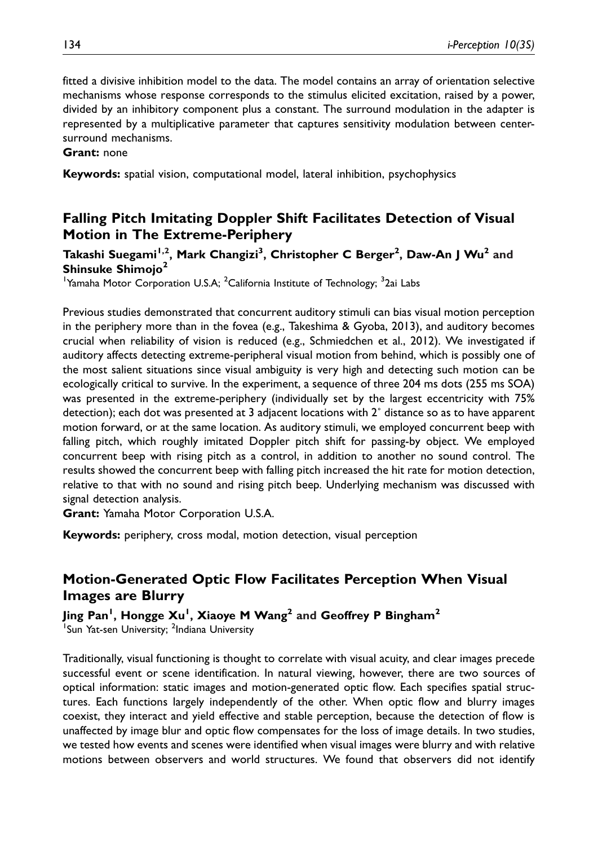fitted a divisive inhibition model to the data. The model contains an array of orientation selective mechanisms whose response corresponds to the stimulus elicited excitation, raised by a power, divided by an inhibitory component plus a constant. The surround modulation in the adapter is represented by a multiplicative parameter that captures sensitivity modulation between centersurround mechanisms.

#### Grant: none

Keywords: spatial vision, computational model, lateral inhibition, psychophysics

# Falling Pitch Imitating Doppler Shift Facilitates Detection of Visual Motion in The Extreme-Periphery

### Takashi Suegami<sup>1,2</sup>, Mark Changizi<sup>3</sup>, Christopher C Berger<sup>2</sup>, Daw-An J Wu<sup>2</sup> and Shinsuke Shimojo<sup>2</sup>

<sup>1</sup>Yamaha Motor Corporation U.S.A; <sup>2</sup>California Institute of Technology; <sup>3</sup>2ai Labs

Previous studies demonstrated that concurrent auditory stimuli can bias visual motion perception in the periphery more than in the fovea (e.g., Takeshima & Gyoba, 2013), and auditory becomes crucial when reliability of vision is reduced (e.g., Schmiedchen et al., 2012). We investigated if auditory affects detecting extreme-peripheral visual motion from behind, which is possibly one of the most salient situations since visual ambiguity is very high and detecting such motion can be ecologically critical to survive. In the experiment, a sequence of three 204 ms dots (255 ms SOA) was presented in the extreme-periphery (individually set by the largest eccentricity with 75% detection); each dot was presented at 3 adjacent locations with 2˚ distance so as to have apparent motion forward, or at the same location. As auditory stimuli, we employed concurrent beep with falling pitch, which roughly imitated Doppler pitch shift for passing-by object. We employed concurrent beep with rising pitch as a control, in addition to another no sound control. The results showed the concurrent beep with falling pitch increased the hit rate for motion detection, relative to that with no sound and rising pitch beep. Underlying mechanism was discussed with signal detection analysis.

Grant: Yamaha Motor Corporation U.S.A.

Keywords: periphery, cross modal, motion detection, visual perception

# Motion-Generated Optic Flow Facilitates Perception When Visual Images are Blurry

Jing Pan<sup>1</sup>, Hongge Xu<sup>1</sup>, Xiaoye M Wang<sup>2</sup> and Geoffrey P Bingham<sup>2</sup> <sup>1</sup>Sun Yat-sen University; <sup>2</sup>Indiana University

Traditionally, visual functioning is thought to correlate with visual acuity, and clear images precede successful event or scene identification. In natural viewing, however, there are two sources of optical information: static images and motion-generated optic flow. Each specifies spatial structures. Each functions largely independently of the other. When optic flow and blurry images coexist, they interact and yield effective and stable perception, because the detection of flow is unaffected by image blur and optic flow compensates for the loss of image details. In two studies, we tested how events and scenes were identified when visual images were blurry and with relative motions between observers and world structures. We found that observers did not identify